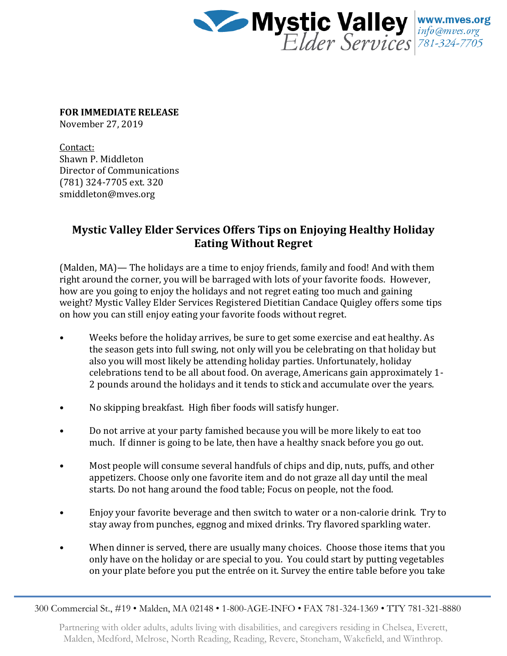

**FOR IMMEDIATE RELEASE**

November 27, 2019

Contact: Shawn P. Middleton Director of Communications (781) 324-7705 ext. 320 smiddleton@mves.org

## **Mystic Valley Elder Services Offers Tips on Enjoying Healthy Holiday Eating Without Regret**

(Malden, MA)— The holidays are a time to enjoy friends, family and food! And with them right around the corner, you will be barraged with lots of your favorite foods. However, how are you going to enjoy the holidays and not regret eating too much and gaining weight? Mystic Valley Elder Services Registered Dietitian Candace Quigley offers some tips on how you can still enjoy eating your favorite foods without regret.

- Weeks before the holiday arrives, be sure to get some exercise and eat healthy. As the season gets into full swing, not only will you be celebrating on that holiday but also you will most likely be attending holiday parties. Unfortunately, holiday celebrations tend to be all about food. On average, Americans gain approximately 1- 2 pounds around the holidays and it tends to stick and accumulate over the years.
- No skipping breakfast. High fiber foods will satisfy hunger.
- Do not arrive at your party famished because you will be more likely to eat too much. If dinner is going to be late, then have a healthy snack before you go out.
- Most people will consume several handfuls of chips and dip, nuts, puffs, and other appetizers. Choose only one favorite item and do not graze all day until the meal starts. Do not hang around the food table; Focus on people, not the food.
- Enjoy your favorite beverage and then switch to water or a non-calorie drink. Try to stay away from punches, eggnog and mixed drinks. Try flavored sparkling water.
- When dinner is served, there are usually many choices. Choose those items that you only have on the holiday or are special to you. You could start by putting vegetables on your plate before you put the entrée on it. Survey the entire table before you take

Partnering with older adults, adults living with disabilities, and caregivers residing in Chelsea, Everett, Malden, Medford, Melrose, North Reading, Reading, Revere, Stoneham, Wakefield, and Winthrop.